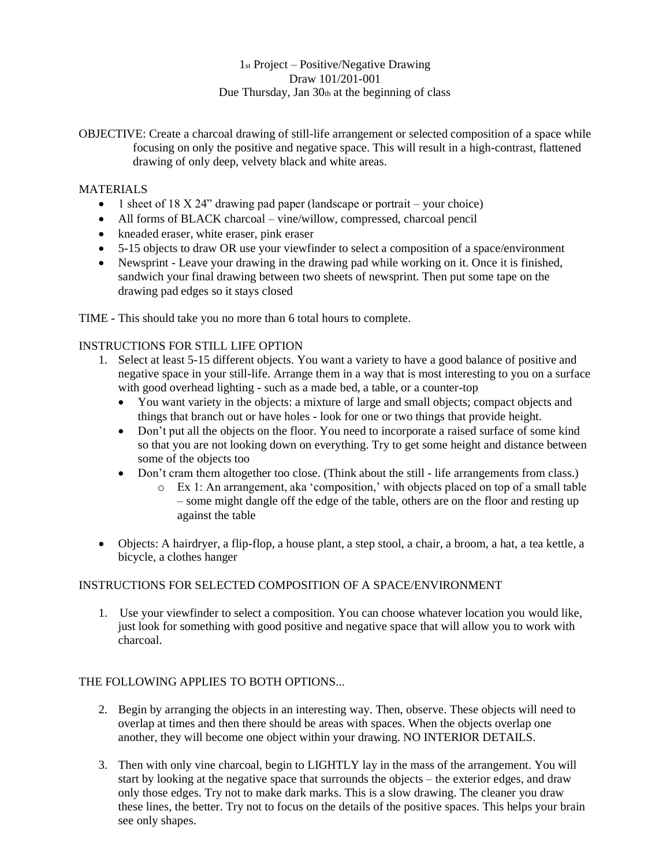# 1st Project – Positive/Negative Drawing Draw 101/201-001 Due Thursday, Jan  $30<sub>th</sub>$  at the beginning of class

OBJECTIVE: Create a charcoal drawing of still-life arrangement or selected composition of a space while focusing on only the positive and negative space. This will result in a high-contrast, flattened drawing of only deep, velvety black and white areas.

# **MATERIALS**

- 1 sheet of 18 X 24" drawing pad paper (landscape or portrait your choice)
- All forms of BLACK charcoal vine/willow, compressed, charcoal pencil
- kneaded eraser, white eraser, pink eraser
- 5-15 objects to draw OR use your viewfinder to select a composition of a space/environment
- Newsprint Leave your drawing in the drawing pad while working on it. Once it is finished, sandwich your final drawing between two sheets of newsprint. Then put some tape on the drawing pad edges so it stays closed

TIME - This should take you no more than 6 total hours to complete.

# INSTRUCTIONS FOR STILL LIFE OPTION

- 1. Select at least 5-15 different objects. You want a variety to have a good balance of positive and negative space in your still-life. Arrange them in a way that is most interesting to you on a surface with good overhead lighting - such as a made bed, a table, or a counter-top
	- You want variety in the objects: a mixture of large and small objects; compact objects and things that branch out or have holes - look for one or two things that provide height.
	- Don't put all the objects on the floor. You need to incorporate a raised surface of some kind so that you are not looking down on everything. Try to get some height and distance between some of the objects too
	- Don't cram them altogether too close. (Think about the still life arrangements from class.)
		- o Ex 1: An arrangement, aka 'composition,' with objects placed on top of a small table – some might dangle off the edge of the table, others are on the floor and resting up against the table
- Objects: A hairdryer, a flip-flop, a house plant, a step stool, a chair, a broom, a hat, a tea kettle, a bicycle, a clothes hanger

### INSTRUCTIONS FOR SELECTED COMPOSITION OF A SPACE/ENVIRONMENT

1. Use your viewfinder to select a composition. You can choose whatever location you would like, just look for something with good positive and negative space that will allow you to work with charcoal.

### THE FOLLOWING APPLIES TO BOTH OPTIONS...

- 2. Begin by arranging the objects in an interesting way. Then, observe. These objects will need to overlap at times and then there should be areas with spaces. When the objects overlap one another, they will become one object within your drawing. NO INTERIOR DETAILS.
- 3. Then with only vine charcoal, begin to LIGHTLY lay in the mass of the arrangement. You will start by looking at the negative space that surrounds the objects – the exterior edges, and draw only those edges. Try not to make dark marks. This is a slow drawing. The cleaner you draw these lines, the better. Try not to focus on the details of the positive spaces. This helps your brain see only shapes.